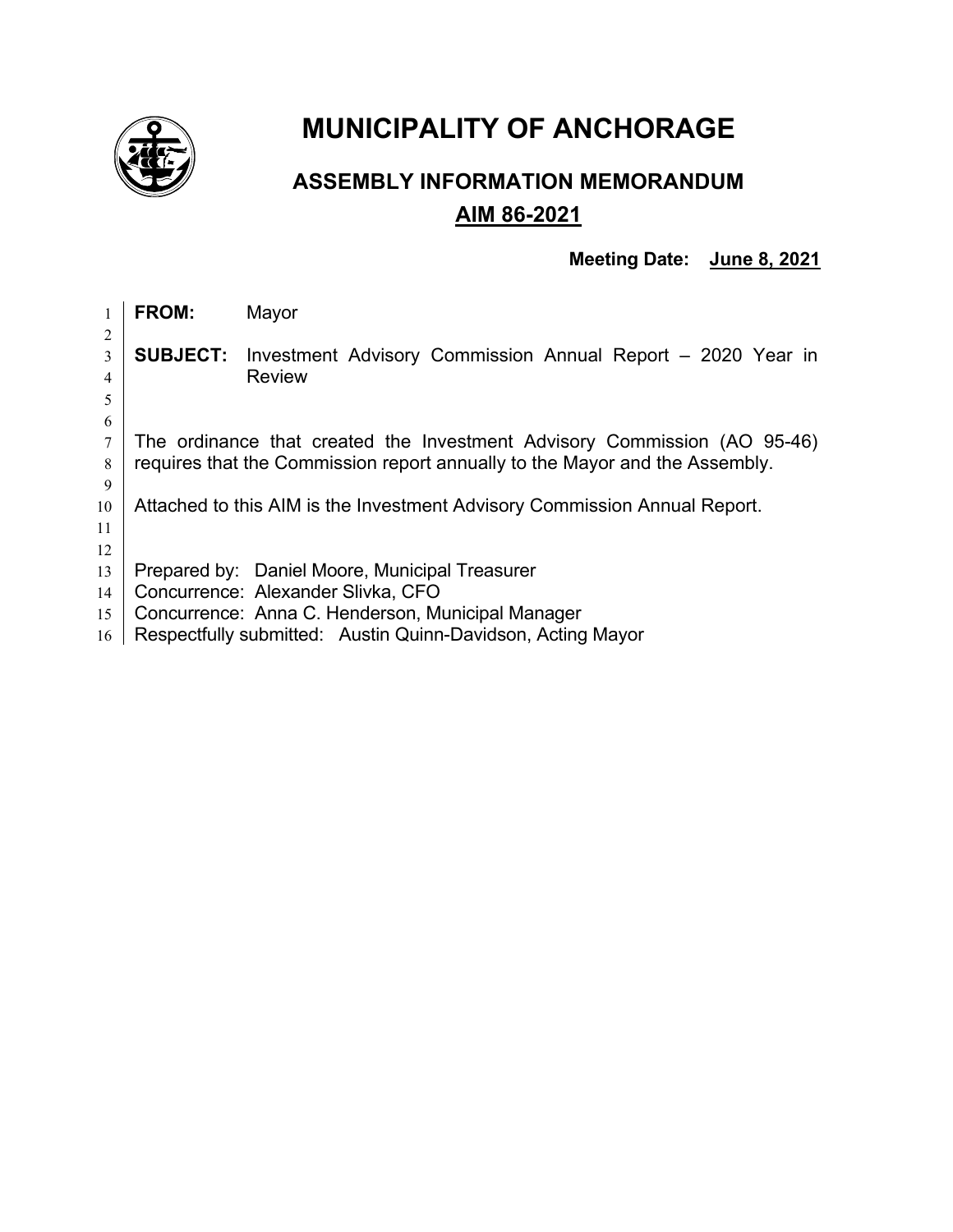

# **MUNICIPALITY OF ANCHORAGE**

## **ASSEMBLY INFORMATION MEMORANDUM AIM 86-2021**

### **Meeting Date: June 8, 2021**

|    | FROM:                                                                       | Mayor                                                       |  |  |  |
|----|-----------------------------------------------------------------------------|-------------------------------------------------------------|--|--|--|
| 2  |                                                                             |                                                             |  |  |  |
| 3  | <b>SUBJECT:</b>                                                             | Investment Advisory Commission Annual Report - 2020 Year in |  |  |  |
| 4  |                                                                             | <b>Review</b>                                               |  |  |  |
| 5  |                                                                             |                                                             |  |  |  |
| 6  |                                                                             |                                                             |  |  |  |
|    | The ordinance that created the Investment Advisory Commission (AO 95-46)    |                                                             |  |  |  |
| 8  | requires that the Commission report annually to the Mayor and the Assembly. |                                                             |  |  |  |
| 9  |                                                                             |                                                             |  |  |  |
| 10 | Attached to this AIM is the Investment Advisory Commission Annual Report.   |                                                             |  |  |  |
| 11 |                                                                             |                                                             |  |  |  |
| 12 |                                                                             |                                                             |  |  |  |
| 13 |                                                                             | Prepared by: Daniel Moore, Municipal Treasurer              |  |  |  |
| 14 |                                                                             | Concurrence: Alexander Slivka, CFO                          |  |  |  |
| 15 |                                                                             | Concurrence: Anna C. Henderson, Municipal Manager           |  |  |  |
| 16 |                                                                             | Respectfully submitted: Austin Quinn-Davidson, Acting Mayor |  |  |  |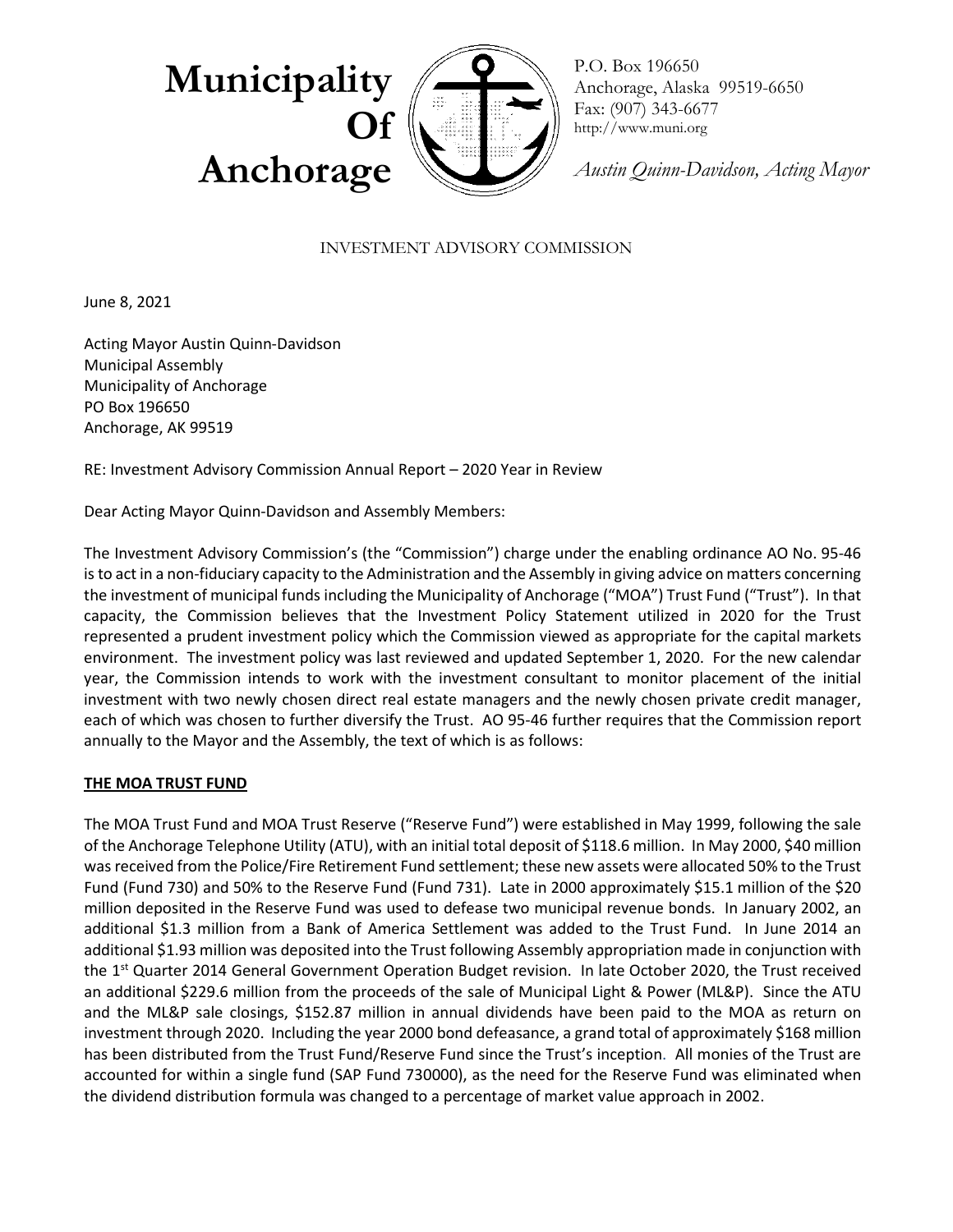

P.O. Box 196650 Anchorage, Alaska 99519-6650 Fax: (907) 343-6677 http://www.muni.org

*Austin Quinn-Davidson, Acting Mayor*

#### INVESTMENT ADVISORY COMMISSION

June 8, 2021

Acting Mayor Austin Quinn-Davidson Municipal Assembly Municipality of Anchorage PO Box 196650 Anchorage, AK 99519

RE: Investment Advisory Commission Annual Report – 2020 Year in Review

Dear Acting Mayor Quinn-Davidson and Assembly Members:

The Investment Advisory Commission's (the "Commission") charge under the enabling ordinance AO No. 95-46 is to act in a non-fiduciary capacity to the Administration and the Assembly in giving advice on matters concerning the investment of municipal funds including the Municipality of Anchorage ("MOA") Trust Fund ("Trust"). In that capacity, the Commission believes that the Investment Policy Statement utilized in 2020 for the Trust represented a prudent investment policy which the Commission viewed as appropriate for the capital markets environment. The investment policy was last reviewed and updated September 1, 2020. For the new calendar year, the Commission intends to work with the investment consultant to monitor placement of the initial investment with two newly chosen direct real estate managers and the newly chosen private credit manager, each of which was chosen to further diversify the Trust. AO 95-46 further requires that the Commission report annually to the Mayor and the Assembly, the text of which is as follows:

#### **THE MOA TRUST FUND**

The MOA Trust Fund and MOA Trust Reserve ("Reserve Fund") were established in May 1999, following the sale of the Anchorage Telephone Utility (ATU), with an initial total deposit of \$118.6 million. In May 2000, \$40 million was received from the Police/Fire Retirement Fund settlement; these new assets were allocated 50% to the Trust Fund (Fund 730) and 50% to the Reserve Fund (Fund 731). Late in 2000 approximately \$15.1 million of the \$20 million deposited in the Reserve Fund was used to defease two municipal revenue bonds. In January 2002, an additional \$1.3 million from a Bank of America Settlement was added to the Trust Fund. In June 2014 an additional \$1.93 million was deposited into the Trust following Assembly appropriation made in conjunction with the 1<sup>st</sup> Quarter 2014 General Government Operation Budget revision. In late October 2020, the Trust received an additional \$229.6 million from the proceeds of the sale of Municipal Light & Power (ML&P). Since the ATU and the ML&P sale closings, \$152.87 million in annual dividends have been paid to the MOA as return on investment through 2020. Including the year 2000 bond defeasance, a grand total of approximately \$168 million has been distributed from the Trust Fund/Reserve Fund since the Trust's inception. All monies of the Trust are accounted for within a single fund (SAP Fund 730000), as the need for the Reserve Fund was eliminated when the dividend distribution formula was changed to a percentage of market value approach in 2002.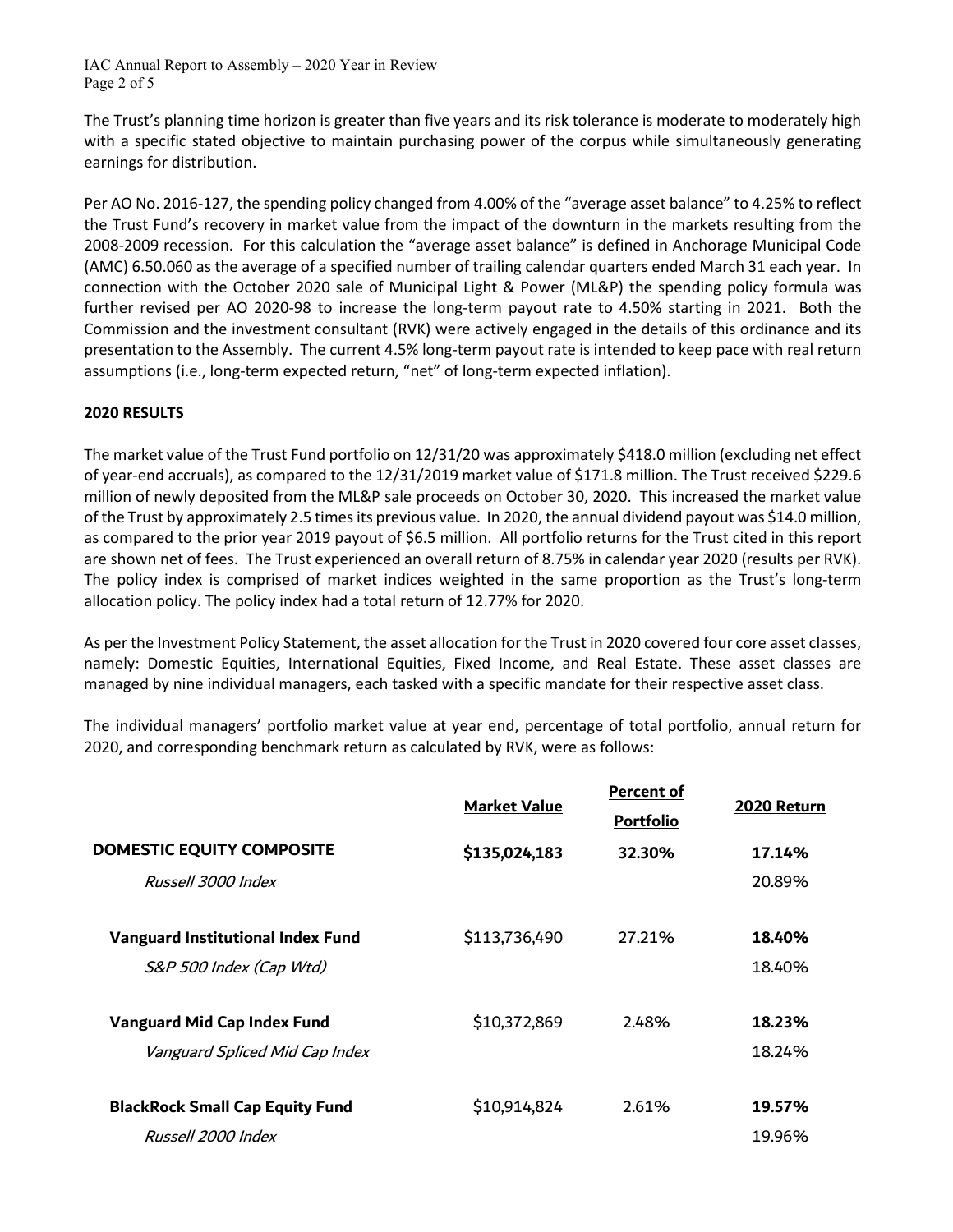IAC Annual Report to Assembly – 2020 Year in Review Page 2 of 5

The Trust's planning time horizon is greater than five years and its risk tolerance is moderate to moderately high with a specific stated objective to maintain purchasing power of the corpus while simultaneously generating earnings for distribution.

Per AO No. 2016-127, the spending policy changed from 4.00% of the "average asset balance" to 4.25% to reflect the Trust Fund's recovery in market value from the impact of the downturn in the markets resulting from the 2008-2009 recession. For this calculation the "average asset balance" is defined in Anchorage Municipal Code (AMC) 6.50.060 as the average of a specified number of trailing calendar quarters ended March 31 each year. In connection with the October 2020 sale of Municipal Light & Power (ML&P) the spending policy formula was further revised per AO 2020-98 to increase the long-term payout rate to 4.50% starting in 2021. Both the Commission and the investment consultant (RVK) were actively engaged in the details of this ordinance and its presentation to the Assembly. The current 4.5% long-term payout rate is intended to keep pace with real return assumptions (i.e., long-term expected return, "net" of long-term expected inflation).

#### **2020 RESULTS**

The market value of the Trust Fund portfolio on 12/31/20 was approximately \$418.0 million (excluding net effect of year-end accruals), as compared to the 12/31/2019 market value of \$171.8 million. The Trust received \$229.6 million of newly deposited from the ML&P sale proceeds on October 30, 2020. This increased the market value of the Trust by approximately 2.5 times its previous value. In 2020, the annual dividend payout was \$14.0 million, as compared to the prior year 2019 payout of \$6.5 million. All portfolio returns for the Trust cited in this report are shown net of fees. The Trust experienced an overall return of 8.75% in calendar year 2020 (results per RVK). The policy index is comprised of market indices weighted in the same proportion as the Trust's long-term allocation policy. The policy index had a total return of 12.77% for 2020.

As per the Investment Policy Statement, the asset allocation for the Trust in 2020 covered four core asset classes, namely: Domestic Equities, International Equities, Fixed Income, and Real Estate. These asset classes are managed by nine individual managers, each tasked with a specific mandate for their respective asset class.

The individual managers' portfolio market value at year end, percentage of total portfolio, annual return for 2020, and corresponding benchmark return as calculated by RVK, were as follows:

|                                        | <b>Market Value</b> | <b>Percent of</b><br><b>Portfolio</b> | 2020 Return |
|----------------------------------------|---------------------|---------------------------------------|-------------|
| DOMESTIC EQUITY COMPOSITE              | \$135,024,183       | 32.30%                                | 17.14%      |
| Russell 3000 Index                     |                     |                                       | 20.89%      |
| Vanguard Institutional Index Fund      | \$113,736,490       | 27.21%                                | 18.40%      |
| S&P 500 Index (Cap Wtd)                |                     |                                       | 18.40%      |
| Vanguard Mid Cap Index Fund            | \$10,372,869        | 2.48%                                 | 18.23%      |
| Vanguard Spliced Mid Cap Index         |                     |                                       | 18.24%      |
| <b>BlackRock Small Cap Equity Fund</b> | \$10,914,824        | 2.61%                                 | 19.57%      |
| Russell 2000 Index                     |                     |                                       | 19.96%      |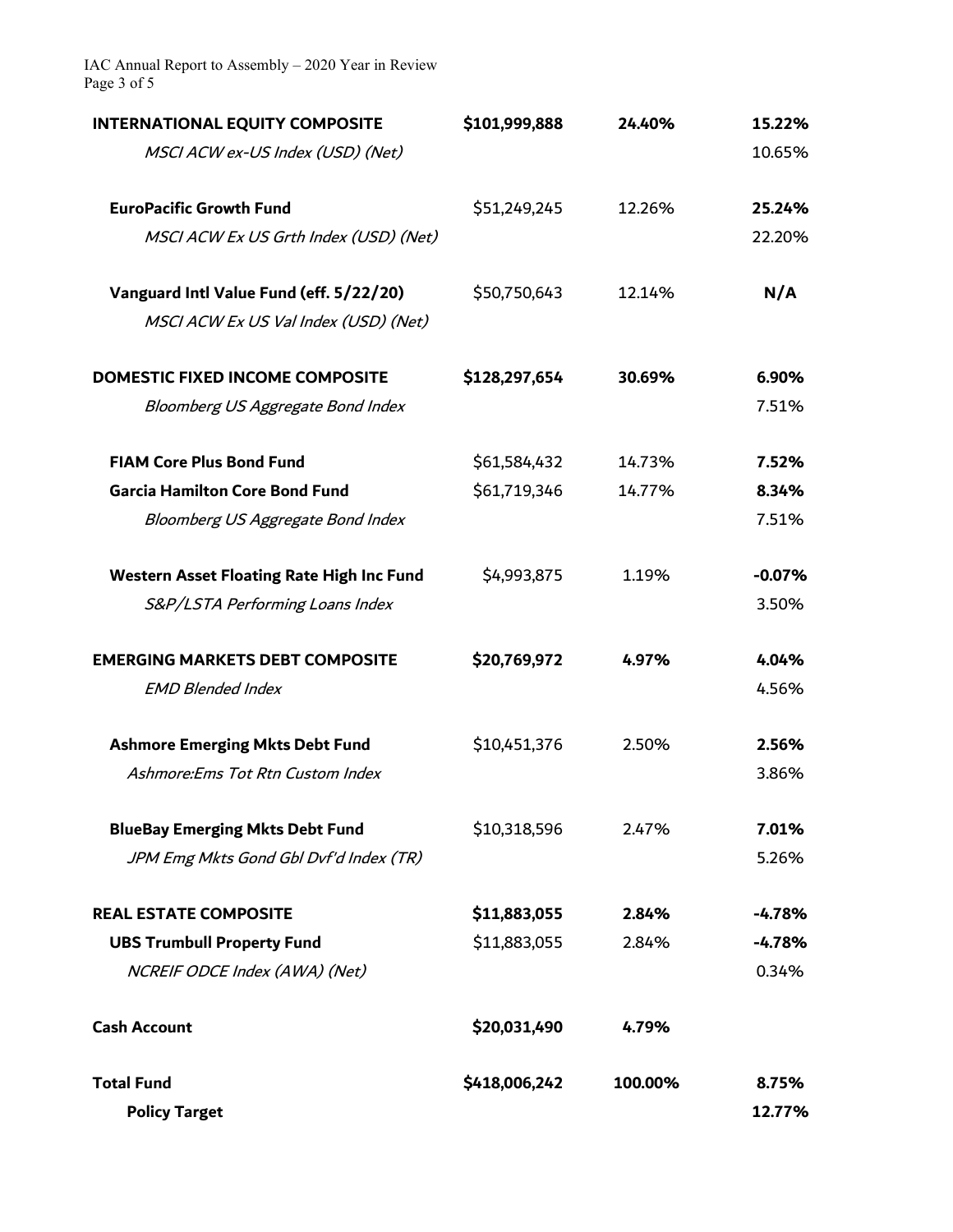IAC Annual Report to Assembly – 2020 Year in Review Page 3 of 5

| <b>INTERNATIONAL EQUITY COMPOSITE</b>            | \$101,999,888 | 24.40%  | 15.22%   |
|--------------------------------------------------|---------------|---------|----------|
| MSCI ACW ex-US Index (USD) (Net)                 |               |         | 10.65%   |
| <b>EuroPacific Growth Fund</b>                   | \$51,249,245  | 12.26%  | 25.24%   |
| MSCI ACW Ex US Grth Index (USD) (Net)            |               |         | 22.20%   |
| Vanguard Intl Value Fund (eff. 5/22/20)          | \$50,750,643  | 12.14%  | N/A      |
| MSCI ACW Ex US Val Index (USD) (Net)             |               |         |          |
| <b>DOMESTIC FIXED INCOME COMPOSITE</b>           | \$128,297,654 | 30.69%  | 6.90%    |
| Bloomberg US Aggregate Bond Index                |               |         | 7.51%    |
| <b>FIAM Core Plus Bond Fund</b>                  | \$61,584,432  | 14.73%  | 7.52%    |
| <b>Garcia Hamilton Core Bond Fund</b>            | \$61,719,346  | 14.77%  | 8.34%    |
| Bloomberg US Aggregate Bond Index                |               |         | 7.51%    |
| <b>Western Asset Floating Rate High Inc Fund</b> | \$4,993,875   | 1.19%   | $-0.07%$ |
| S&P/LSTA Performing Loans Index                  |               |         | 3.50%    |
| <b>EMERGING MARKETS DEBT COMPOSITE</b>           | \$20,769,972  | 4.97%   | 4.04%    |
| <b>EMD Blended Index</b>                         |               |         | 4.56%    |
| <b>Ashmore Emerging Mkts Debt Fund</b>           | \$10,451,376  | 2.50%   | 2.56%    |
| Ashmore:Ems Tot Rtn Custom Index                 |               |         | 3.86%    |
| <b>BlueBay Emerging Mkts Debt Fund</b>           | \$10,318,596  | 2.47%   | 7.01%    |
| JPM Emg Mkts Gond Gbl Dvf'd Index (TR)           |               |         | 5.26%    |
| <b>REAL ESTATE COMPOSITE</b>                     | \$11,883,055  | 2.84%   | $-4.78%$ |
| <b>UBS Trumbull Property Fund</b>                | \$11,883,055  | 2.84%   | $-4.78%$ |
| NCREIF ODCE Index (AWA) (Net)                    |               |         | 0.34%    |
| <b>Cash Account</b>                              | \$20,031,490  | 4.79%   |          |
| <b>Total Fund</b>                                | \$418,006,242 | 100.00% | 8.75%    |
| <b>Policy Target</b>                             |               |         | 12.77%   |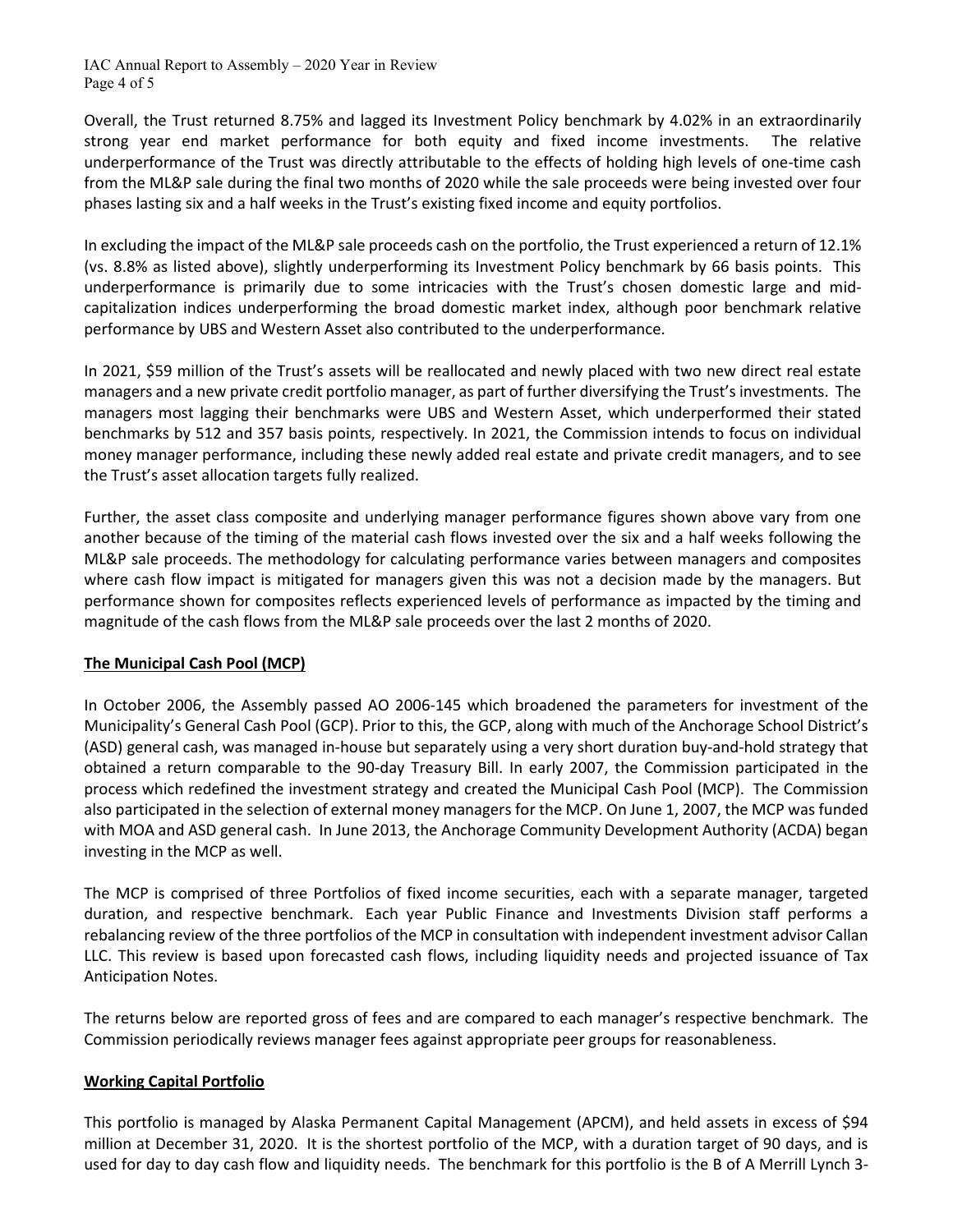IAC Annual Report to Assembly – 2020 Year in Review Page 4 of 5

Overall, the Trust returned 8.75% and lagged its Investment Policy benchmark by 4.02% in an extraordinarily strong year end market performance for both equity and fixed income investments. The relative underperformance of the Trust was directly attributable to the effects of holding high levels of one-time cash from the ML&P sale during the final two months of 2020 while the sale proceeds were being invested over four phases lasting six and a half weeks in the Trust's existing fixed income and equity portfolios.

In excluding the impact of the ML&P sale proceeds cash on the portfolio, the Trust experienced a return of 12.1% (vs. 8.8% as listed above), slightly underperforming its Investment Policy benchmark by 66 basis points. This underperformance is primarily due to some intricacies with the Trust's chosen domestic large and midcapitalization indices underperforming the broad domestic market index, although poor benchmark relative performance by UBS and Western Asset also contributed to the underperformance.

In 2021, \$59 million of the Trust's assets will be reallocated and newly placed with two new direct real estate managers and a new private credit portfolio manager, as part of further diversifying the Trust's investments. The managers most lagging their benchmarks were UBS and Western Asset, which underperformed their stated benchmarks by 512 and 357 basis points, respectively. In 2021, the Commission intends to focus on individual money manager performance, including these newly added real estate and private credit managers, and to see the Trust's asset allocation targets fully realized.

Further, the asset class composite and underlying manager performance figures shown above vary from one another because of the timing of the material cash flows invested over the six and a half weeks following the ML&P sale proceeds. The methodology for calculating performance varies between managers and composites where cash flow impact is mitigated for managers given this was not a decision made by the managers. But performance shown for composites reflects experienced levels of performance as impacted by the timing and magnitude of the cash flows from the ML&P sale proceeds over the last 2 months of 2020.

#### **The Municipal Cash Pool (MCP)**

In October 2006, the Assembly passed AO 2006-145 which broadened the parameters for investment of the Municipality's General Cash Pool (GCP). Prior to this, the GCP, along with much of the Anchorage School District's (ASD) general cash, was managed in-house but separately using a very short duration buy-and-hold strategy that obtained a return comparable to the 90-day Treasury Bill. In early 2007, the Commission participated in the process which redefined the investment strategy and created the Municipal Cash Pool (MCP). The Commission also participated in the selection of external money managers for the MCP. On June 1, 2007, the MCP was funded with MOA and ASD general cash. In June 2013, the Anchorage Community Development Authority (ACDA) began investing in the MCP as well.

The MCP is comprised of three Portfolios of fixed income securities, each with a separate manager, targeted duration, and respective benchmark. Each year Public Finance and Investments Division staff performs a rebalancing review of the three portfolios of the MCP in consultation with independent investment advisor Callan LLC. This review is based upon forecasted cash flows, including liquidity needs and projected issuance of Tax Anticipation Notes.

The returns below are reported gross of fees and are compared to each manager's respective benchmark. The Commission periodically reviews manager fees against appropriate peer groups for reasonableness.

#### **Working Capital Portfolio**

This portfolio is managed by Alaska Permanent Capital Management (APCM), and held assets in excess of \$94 million at December 31, 2020. It is the shortest portfolio of the MCP, with a duration target of 90 days, and is used for day to day cash flow and liquidity needs. The benchmark for this portfolio is the B of A Merrill Lynch 3